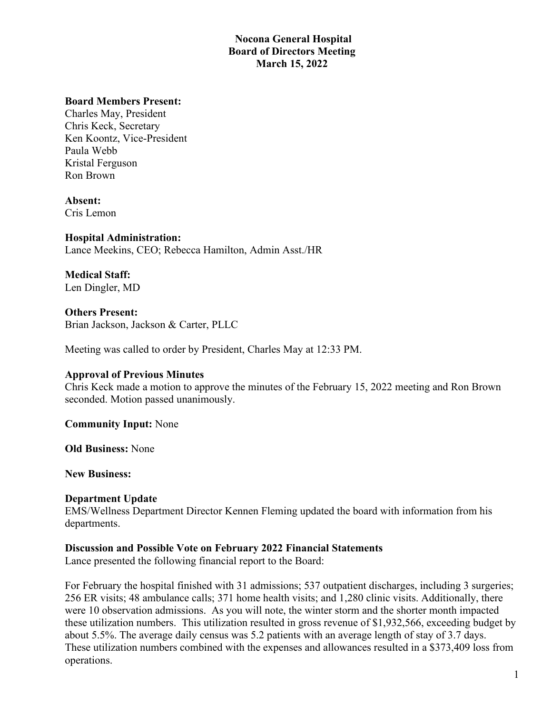# **Nocona General Hospital Board of Directors Meeting March 15, 2022**

### **Board Members Present:**

Charles May, President Chris Keck, Secretary Ken Koontz, Vice-President Paula Webb Kristal Ferguson Ron Brown

**Absent:** Cris Lemon

**Hospital Administration:** Lance Meekins, CEO; Rebecca Hamilton, Admin Asst./HR

**Medical Staff:** Len Dingler, MD

**Others Present:** Brian Jackson, Jackson & Carter, PLLC

Meeting was called to order by President, Charles May at 12:33 PM.

### **Approval of Previous Minutes**

Chris Keck made a motion to approve the minutes of the February 15, 2022 meeting and Ron Brown seconded. Motion passed unanimously.

**Community Input:** None

**Old Business:** None

**New Business:**

### **Department Update**

EMS/Wellness Department Director Kennen Fleming updated the board with information from his departments.

#### **Discussion and Possible Vote on February 2022 Financial Statements**

Lance presented the following financial report to the Board:

For February the hospital finished with 31 admissions; 537 outpatient discharges, including 3 surgeries; 256 ER visits; 48 ambulance calls; 371 home health visits; and 1,280 clinic visits. Additionally, there were 10 observation admissions. As you will note, the winter storm and the shorter month impacted these utilization numbers. This utilization resulted in gross revenue of \$1,932,566, exceeding budget by about 5.5%. The average daily census was 5.2 patients with an average length of stay of 3.7 days. These utilization numbers combined with the expenses and allowances resulted in a \$373,409 loss from operations.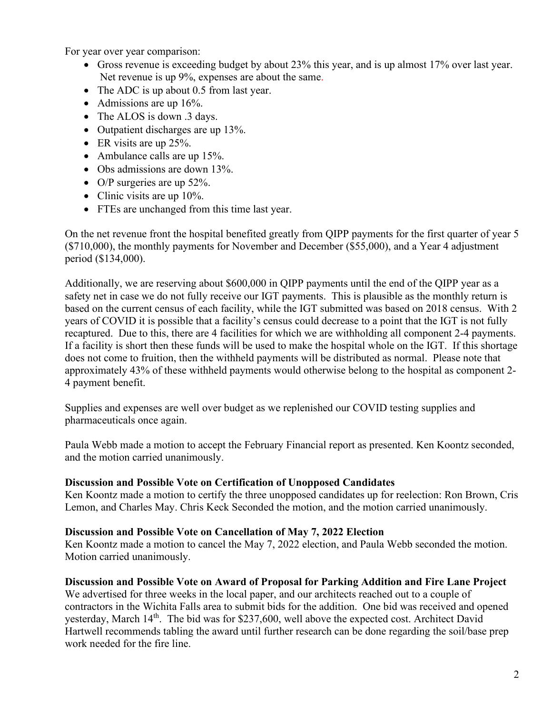For year over year comparison:

- Gross revenue is exceeding budget by about 23% this year, and is up almost 17% over last year. Net revenue is up 9%, expenses are about the same.
- The ADC is up about 0.5 from last year.
- Admissions are up 16%.
- The ALOS is down .3 days.
- Outpatient discharges are up 13%.
- ER visits are up 25%.
- Ambulance calls are up 15%.
- Obs admissions are down 13%.
- O/P surgeries are up 52%.
- Clinic visits are up 10%.
- FTEs are unchanged from this time last year.

On the net revenue front the hospital benefited greatly from QIPP payments for the first quarter of year 5 (\$710,000), the monthly payments for November and December (\$55,000), and a Year 4 adjustment period (\$134,000).

Additionally, we are reserving about \$600,000 in QIPP payments until the end of the QIPP year as a safety net in case we do not fully receive our IGT payments. This is plausible as the monthly return is based on the current census of each facility, while the IGT submitted was based on 2018 census. With 2 years of COVID it is possible that a facility's census could decrease to a point that the IGT is not fully recaptured. Due to this, there are 4 facilities for which we are withholding all component 2-4 payments. If a facility is short then these funds will be used to make the hospital whole on the IGT. If this shortage does not come to fruition, then the withheld payments will be distributed as normal. Please note that approximately 43% of these withheld payments would otherwise belong to the hospital as component 2- 4 payment benefit.

Supplies and expenses are well over budget as we replenished our COVID testing supplies and pharmaceuticals once again.

Paula Webb made a motion to accept the February Financial report as presented. Ken Koontz seconded, and the motion carried unanimously.

## **Discussion and Possible Vote on Certification of Unopposed Candidates**

Ken Koontz made a motion to certify the three unopposed candidates up for reelection: Ron Brown, Cris Lemon, and Charles May. Chris Keck Seconded the motion, and the motion carried unanimously.

## **Discussion and Possible Vote on Cancellation of May 7, 2022 Election**

Ken Koontz made a motion to cancel the May 7, 2022 election, and Paula Webb seconded the motion. Motion carried unanimously.

## **Discussion and Possible Vote on Award of Proposal for Parking Addition and Fire Lane Project**

We advertised for three weeks in the local paper, and our architects reached out to a couple of contractors in the Wichita Falls area to submit bids for the addition. One bid was received and opened yesterday, March 14<sup>th</sup>. The bid was for \$237,600, well above the expected cost. Architect David Hartwell recommends tabling the award until further research can be done regarding the soil/base prep work needed for the fire line.